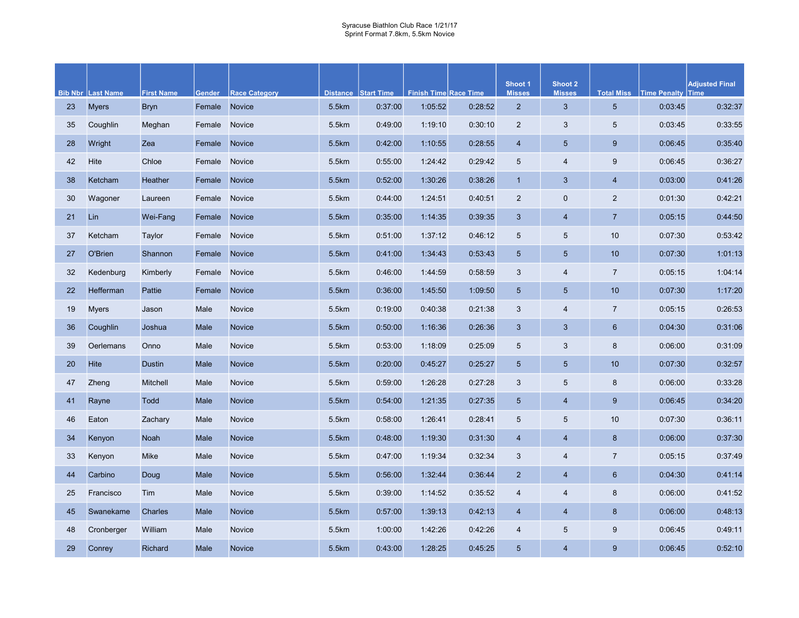|    |                          |                   |        |                      |       |                     |                              |         | Shoot 1                 | Shoot 2                   |                   |                     | <b>Adjusted Final</b> |
|----|--------------------------|-------------------|--------|----------------------|-------|---------------------|------------------------------|---------|-------------------------|---------------------------|-------------------|---------------------|-----------------------|
|    | <b>Bib Nbr Last Name</b> | <b>First Name</b> | Gender | <b>Race Category</b> |       | Distance Start Time | <b>Finish Time Race Time</b> |         | <b>Misses</b>           | <b>Misses</b>             | <b>Total Miss</b> | <b>Time Penalty</b> | <b>Time</b>           |
| 23 | <b>Myers</b>             | <b>Bryn</b>       | Female | <b>Novice</b>        | 5.5km | 0:37:00             | 1:05:52                      | 0:28:52 | $\overline{2}$          | 3                         | $5\phantom{.0}$   | 0:03:45             | 0:32:37               |
| 35 | Coughlin                 | Meghan            | Female | <b>Novice</b>        | 5.5km | 0:49:00             | 1:19:10                      | 0:30:10 | $\mathbf{2}$            | 3                         | $\overline{5}$    | 0:03:45             | 0:33:55               |
| 28 | Wright                   | Zea               | Female | Novice               | 5.5km | 0:42:00             | 1:10:55                      | 0:28:55 | $\overline{\mathbf{4}}$ | $5\phantom{.0}$           | $9\,$             | 0:06:45             | 0:35:40               |
| 42 | Hite                     | Chloe             | Female | Novice               | 5.5km | 0:55:00             | 1:24:42                      | 0:29:42 | $\sqrt{5}$              | 4                         | $\boldsymbol{9}$  | 0:06:45             | 0:36:27               |
| 38 | Ketcham                  | Heather           | Female | Novice               | 5.5km | 0:52:00             | 1:30:26                      | 0:38:26 | $\mathbf{1}$            | 3                         | $\overline{4}$    | 0:03:00             | 0:41:26               |
| 30 | Wagoner                  | Laureen           | Female | Novice               | 5.5km | 0:44:00             | 1:24:51                      | 0:40:51 | $\overline{2}$          | $\pmb{0}$                 | 2                 | 0:01:30             | 0:42:21               |
| 21 | Lin                      | Wei-Fang          | Female | <b>Novice</b>        | 5.5km | 0:35:00             | 1:14:35                      | 0:39:35 | 3                       | $\overline{\mathbf{4}}$   | $\overline{7}$    | 0:05:15             | 0:44:50               |
| 37 | Ketcham                  | Taylor            | Female | Novice               | 5.5km | 0:51:00             | 1:37:12                      | 0:46:12 | 5                       | $\sqrt{5}$                | 10                | 0:07:30             | 0:53:42               |
| 27 | O'Brien                  | Shannon           | Female | <b>Novice</b>        | 5.5km | 0:41:00             | 1:34:43                      | 0:53:43 | $5\phantom{.0}$         | $5\phantom{.0}$           | 10                | 0:07:30             | 1:01:13               |
| 32 | Kedenburg                | Kimberly          | Female | Novice               | 5.5km | 0:46:00             | 1:44:59                      | 0:58:59 | 3                       | $\overline{\mathcal{A}}$  | $\overline{7}$    | 0:05:15             | 1:04:14               |
| 22 | Hefferman                | Pattie            | Female | Novice               | 5.5km | 0:36:00             | 1:45:50                      | 1:09:50 | $\sqrt{5}$              | 5 <sup>5</sup>            | 10                | 0:07:30             | 1:17:20               |
| 19 | <b>Myers</b>             | Jason             | Male   | Novice               | 5.5km | 0:19:00             | 0:40:38                      | 0:21:38 | 3                       | $\overline{\mathcal{A}}$  | $\overline{7}$    | 0:05:15             | 0:26:53               |
| 36 | Coughlin                 | Joshua            | Male   | Novice               | 5.5km | 0:50:00             | 1:16:36                      | 0:26:36 | 3                       | 3                         | $6\phantom{1}6$   | 0:04:30             | 0:31:06               |
| 39 | Oerlemans                | Onno              | Male   | Novice               | 5.5km | 0:53:00             | 1:18:09                      | 0:25:09 | 5                       | $\ensuremath{\mathsf{3}}$ | 8                 | 0:06:00             | 0:31:09               |
| 20 | Hite                     | <b>Dustin</b>     | Male   | <b>Novice</b>        | 5.5km | 0:20:00             | 0:45:27                      | 0:25:27 | $\overline{5}$          | $5\overline{)}$           | 10                | 0:07:30             | 0:32:57               |
| 47 | Zheng                    | <b>Mitchell</b>   | Male   | Novice               | 5.5km | 0:59:00             | 1:26:28                      | 0:27:28 | $\mathbf{3}$            | $\sqrt{5}$                | $\bf 8$           | 0:06:00             | 0:33:28               |
| 41 | Rayne                    | <b>Todd</b>       | Male   | Novice               | 5.5km | 0:54:00             | 1:21:35                      | 0:27:35 | $\overline{5}$          | $\overline{\mathbf{4}}$   | $9$               | 0:06:45             | 0:34:20               |
| 46 | Eaton                    | Zachary           | Male   | Novice               | 5.5km | 0:58:00             | 1:26:41                      | 0:28:41 | $\sqrt{5}$              | $\sqrt{5}$                | 10                | 0:07:30             | 0:36:11               |
| 34 | Kenyon                   | Noah              | Male   | Novice               | 5.5km | 0:48:00             | 1:19:30                      | 0:31:30 | $\overline{4}$          | $\overline{4}$            | $\bf 8$           | 0:06:00             | 0:37:30               |
| 33 | Kenyon                   | <b>Mike</b>       | Male   | Novice               | 5.5km | 0:47:00             | 1:19:34                      | 0:32:34 | $\sqrt{3}$              | $\overline{4}$            | $\sqrt{7}$        | 0:05:15             | 0:37:49               |
| 44 | Carbino                  | Doug              | Male   | Novice               | 5.5km | 0:56:00             | 1:32:44                      | 0:36:44 | $\overline{2}$          | $\overline{4}$            | $6\phantom{1}6$   | 0:04:30             | 0:41:14               |
| 25 | Francisco                | Tim               | Male   | Novice               | 5.5km | 0:39:00             | 1:14:52                      | 0:35:52 | 4                       | 4                         | 8                 | 0:06:00             | 0:41:52               |
| 45 | Swanekame                | <b>Charles</b>    | Male   | Novice               | 5.5km | 0:57:00             | 1:39:13                      | 0:42:13 | $\overline{4}$          | $\overline{4}$            | 8                 | 0:06:00             | 0:48:13               |
| 48 | Cronberger               | William           | Male   | <b>Novice</b>        | 5.5km | 1:00:00             | 1:42:26                      | 0:42:26 | 4                       | 5                         | 9                 | 0:06:45             | 0:49:11               |
| 29 | Conrey                   | Richard           | Male   | <b>Novice</b>        | 5.5km | 0:43:00             | 1:28:25                      | 0:45:25 | 5                       | $\overline{4}$            | 9                 | 0:06:45             | 0:52:10               |